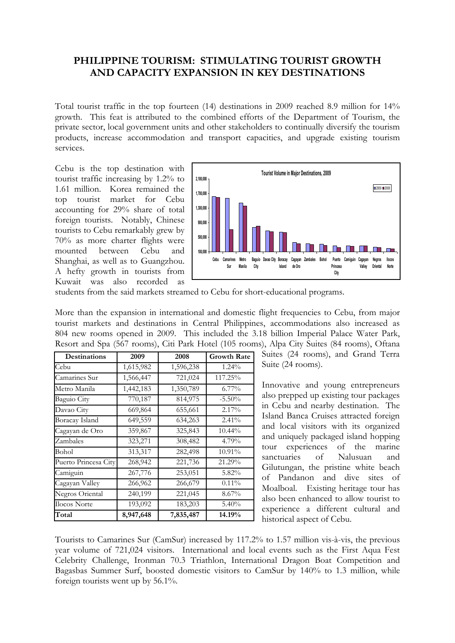## **PHILIPPINE TOURISM: STIMULATING TOURIST GROWTH AND CAPACITY EXPANSION IN KEY DESTINATIONS**

Total tourist traffic in the top fourteen (14) destinations in 2009 reached 8.9 million for 14% growth. This feat is attributed to the combined efforts of the Department of Tourism, the private sector, local government units and other stakeholders to continually diversify the tourism products, increase accommodation and transport capacities, and upgrade existing tourism services.

Cebu is the top destination with tourist traffic increasing by 1.2% to 1.61 million. Korea remained the top tourist market for Cebu accounting for 29% share of total foreign tourists. Notably, Chinese tourists to Cebu remarkably grew by 70% as more charter flights were mounted between Cebu and Shanghai, as well as to Guangzhou. A hefty growth in tourists from Kuwait was also recorded as



students from the said markets streamed to Cebu for short-educational programs.

More than the expansion in international and domestic flight frequencies to Cebu, from major tourist markets and destinations in Central Philippines, accommodations also increased as 804 new rooms opened in 2009. This included the 3.18 billion Imperial Palace Water Park, Resort and Spa (567 rooms), Citi Park Hotel (105 rooms), Alpa City Suites (84 rooms), Oftana

| Destinations         | 2009      | 2008      | <b>Growth Rate</b> |
|----------------------|-----------|-----------|--------------------|
| Cebu                 | 1,615,982 | 1,596,238 | 1.24%              |
| Camarines Sur        | 1,566,447 | 721,024   | 117.25%            |
| Metro Manila         | 1,442,183 | 1,350,789 | $6.77\%$           |
| Baguio City          | 770,187   | 814,975   | $-5.50%$           |
| Davao City           | 669,864   | 655,661   | 2.17%              |
| Boracay Island       | 649,559   | 634,263   | $2.41\%$           |
| Cagayan de Oro       | 359,867   | 325,843   | $10.44\%$          |
| Zambales             | 323,271   | 308,482   | 4.79%              |
| Bohol                | 313,317   | 282,498   | 10.91%             |
| Puerto Princesa City | 268,942   | 221,736   | 21.29%             |
| Camiguin             | 267,776   | 253,051   | 5.82%              |
| Cagayan Valley       | 266,962   | 266,679   | $0.11\%$           |
| Negros Oriental      | 240,199   | 221,045   | $8.67\%$           |
| <b>Ilocos Norte</b>  | 193,092   | 183,203   | $5.40\%$           |
| Total                | 8,947,648 | 7,835,487 | 14.19%             |

Suites (24 rooms), and Grand Terra Suite (24 rooms).

Innovative and young entrepreneurs also prepped up existing tour packages in Cebu and nearby destination. The Island Banca Cruises attracted foreign and local visitors with its organized and uniquely packaged island hopping tour experiences of the marine sanctuaries of Nalusuan and Gilutungan, the pristine white beach of Pandanon and dive sites of Moalboal. Existing heritage tour has also been enhanced to allow tourist to experience a different cultural and historical aspect of Cebu.

Tourists to Camarines Sur (CamSur) increased by 117.2% to 1.57 million vis-à-vis, the previous year volume of 721,024 visitors. International and local events such as the First Aqua Fest Celebrity Challenge, Ironman 70.3 Triathlon, International Dragon Boat Competition and Bagasbas Summer Surf, boosted domestic visitors to CamSur by 140% to 1.3 million, while foreign tourists went up by 56.1%.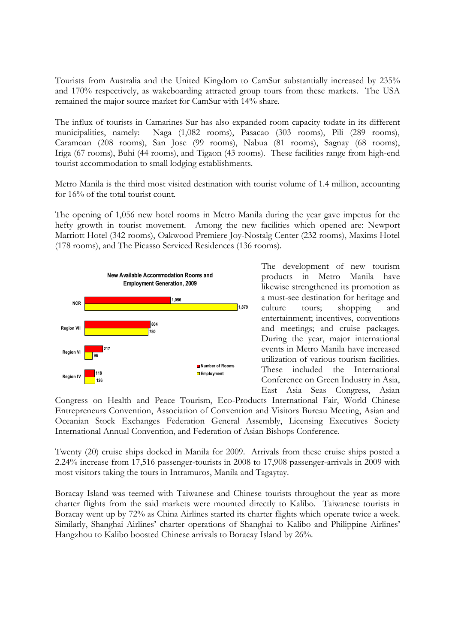Tourists from Australia and the United Kingdom to CamSur substantially increased by 235% and 170% respectively, as wakeboarding attracted group tours from these markets. The USA remained the major source market for CamSur with 14% share.

The influx of tourists in Camarines Sur has also expanded room capacity todate in its different municipalities, namely: Naga (1,082 rooms), Pasacao (303 rooms), Pili (289 rooms), Caramoan (208 rooms), San Jose (99 rooms), Nabua (81 rooms), Sagnay (68 rooms), Iriga (67 rooms), Buhi (44 rooms), and Tigaon (43 rooms). These facilities range from high-end tourist accommodation to small lodging establishments.

Metro Manila is the third most visited destination with tourist volume of 1.4 million, accounting for 16% of the total tourist count.

The opening of 1,056 new hotel rooms in Metro Manila during the year gave impetus for the hefty growth in tourist movement. Among the new facilities which opened are: Newport Marriott Hotel (342 rooms), Oakwood Premiere Joy-Nostalg Center (232 rooms), Maxims Hotel (178 rooms), and The Picasso Serviced Residences (136 rooms).



The development of new tourism products in Metro Manila have likewise strengthened its promotion as a must-see destination for heritage and culture tours; shopping and entertainment; incentives, conventions and meetings; and cruise packages. During the year, major international events in Metro Manila have increased utilization of various tourism facilities. These included the International Conference on Green Industry in Asia, East Asia Seas Congress, Asian

Congress on Health and Peace Tourism, Eco-Products International Fair, World Chinese Entrepreneurs Convention, Association of Convention and Visitors Bureau Meeting, Asian and Oceanian Stock Exchanges Federation General Assembly, Licensing Executives Society International Annual Convention, and Federation of Asian Bishops Conference.

Twenty (20) cruise ships docked in Manila for 2009. Arrivals from these cruise ships posted a 2.24% increase from 17,516 passenger-tourists in 2008 to 17,908 passenger-arrivals in 2009 with most visitors taking the tours in Intramuros, Manila and Tagaytay.

Boracay Island was teemed with Taiwanese and Chinese tourists throughout the year as more charter flights from the said markets were mounted directly to Kalibo. Taiwanese tourists in Boracay went up by 72% as China Airlines started its charter flights which operate twice a week. Similarly, Shanghai Airlines' charter operations of Shanghai to Kalibo and Philippine Airlines' Hangzhou to Kalibo boosted Chinese arrivals to Boracay Island by 26%.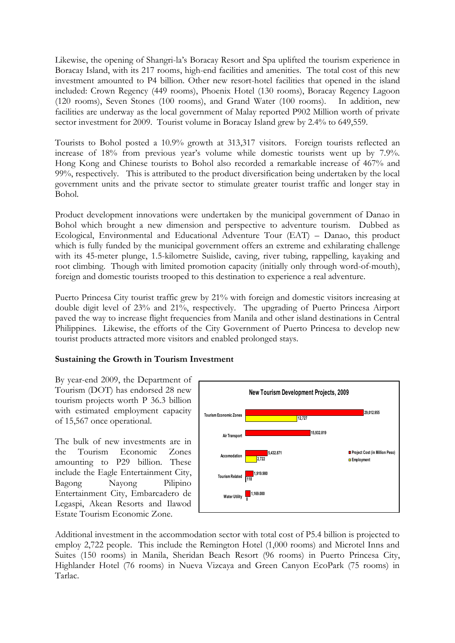Likewise, the opening of Shangri-la's Boracay Resort and Spa uplifted the tourism experience in Boracay Island, with its 217 rooms, high-end facilities and amenities. The total cost of this new investment amounted to P4 billion. Other new resort-hotel facilities that opened in the island included: Crown Regency (449 rooms), Phoenix Hotel (130 rooms), Boracay Regency Lagoon (120 rooms), Seven Stones (100 rooms), and Grand Water (100 rooms). In addition, new facilities are underway as the local government of Malay reported P902 Million worth of private sector investment for 2009. Tourist volume in Boracay Island grew by 2.4% to 649,559.

Tourists to Bohol posted a 10.9% growth at 313,317 visitors. Foreign tourists reflected an increase of 18% from previous year's volume while domestic tourists went up by 7.9%. Hong Kong and Chinese tourists to Bohol also recorded a remarkable increase of 467% and 99%, respectively. This is attributed to the product diversification being undertaken by the local government units and the private sector to stimulate greater tourist traffic and longer stay in Bohol.

Product development innovations were undertaken by the municipal government of Danao in Bohol which brought a new dimension and perspective to adventure tourism. Dubbed as Ecological, Environmental and Educational Adventure Tour (EAT) – Danao, this product which is fully funded by the municipal government offers an extreme and exhilarating challenge with its 45-meter plunge, 1.5-kilometre Suislide, caving, river tubing, rappelling, kayaking and root climbing. Though with limited promotion capacity (initially only through word-of-mouth), foreign and domestic tourists trooped to this destination to experience a real adventure.

Puerto Princesa City tourist traffic grew by 21% with foreign and domestic visitors increasing at double digit level of 23% and 21%, respectively. The upgrading of Puerto Princesa Airport paved the way to increase flight frequencies from Manila and other island destinations in Central Philippines. Likewise, the efforts of the City Government of Puerto Princesa to develop new tourist products attracted more visitors and enabled prolonged stays.

## **Sustaining the Growth in Tourism Investment**

By year-end 2009, the Department of Tourism (DOT) has endorsed 28 new tourism projects worth P 36.3 billion with estimated employment capacity of 15,567 once operational.

The bulk of new investments are in the Tourism Economic Zones amounting to P29 billion. These include the Eagle Entertainment City, Bagong Nayong Pilipino Entertainment City, Embarcadero de Legaspi, Akean Resorts and Ilawod Estate Tourism Economic Zone.



Additional investment in the accommodation sector with total cost of P5.4 billion is projected to employ 2,722 people. This include the Remington Hotel (1,000 rooms) and Microtel Inns and Suites (150 rooms) in Manila, Sheridan Beach Resort (96 rooms) in Puerto Princesa City, Highlander Hotel (76 rooms) in Nueva Vizcaya and Green Canyon EcoPark (75 rooms) in Tarlac.